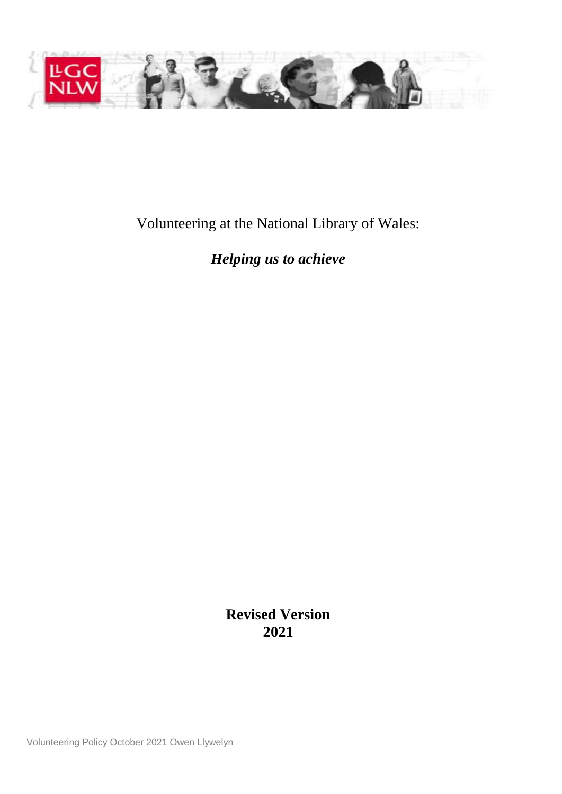

Volunteering at the National Library of Wales:

*Helping us to achieve*

**Revised Version 2021**

Volunteering Policy October 2021 Owen Llywelyn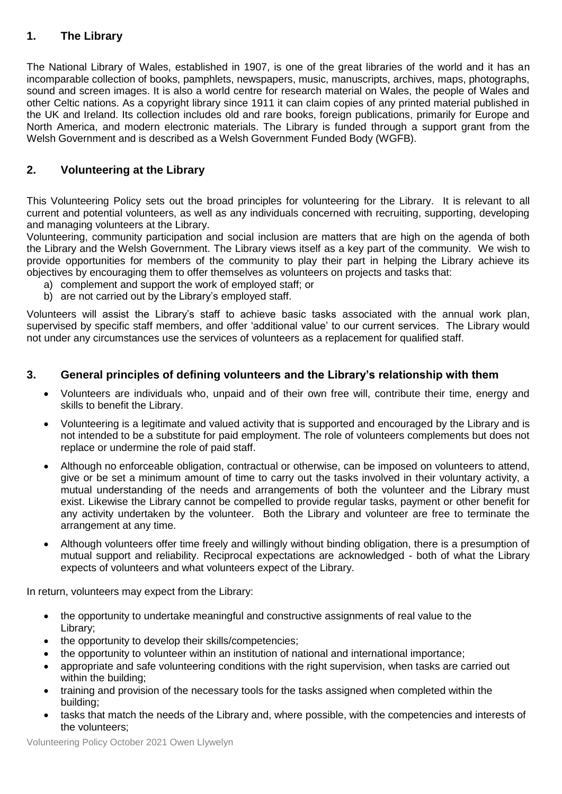# **1. The Library**

The National Library of Wales, established in 1907, is one of the great libraries of the world and it has an incomparable collection of books, pamphlets, newspapers, music, manuscripts, archives, maps, photographs, sound and screen images. It is also a world centre for research material on Wales, the people of Wales and other Celtic nations. As a copyright library since 1911 it can claim copies of any printed material published in the UK and Ireland. Its collection includes old and rare books, foreign publications, primarily for Europe and North America, and modern electronic materials. The Library is funded through a support grant from the Welsh Government and is described as a Welsh Government Funded Body (WGFB).

# **2. Volunteering at the Library**

This Volunteering Policy sets out the broad principles for volunteering for the Library. It is relevant to all current and potential volunteers, as well as any individuals concerned with recruiting, supporting, developing and managing volunteers at the Library.

Volunteering, community participation and social inclusion are matters that are high on the agenda of both the Library and the Welsh Government. The Library views itself as a key part of the community. We wish to provide opportunities for members of the community to play their part in helping the Library achieve its objectives by encouraging them to offer themselves as volunteers on projects and tasks that:

- a) complement and support the work of employed staff; or
- b) are not carried out by the Library's employed staff.

Volunteers will assist the Library's staff to achieve basic tasks associated with the annual work plan, supervised by specific staff members, and offer 'additional value' to our current services. The Library would not under any circumstances use the services of volunteers as a replacement for qualified staff.

## **3. General principles of defining volunteers and the Library's relationship with them**

- Volunteers are individuals who, unpaid and of their own free will, contribute their time, energy and skills to benefit the Library.
- Volunteering is a legitimate and valued activity that is supported and encouraged by the Library and is not intended to be a substitute for paid employment. The role of volunteers complements but does not replace or undermine the role of paid staff.
- Although no enforceable obligation, contractual or otherwise, can be imposed on volunteers to attend, give or be set a minimum amount of time to carry out the tasks involved in their voluntary activity, a mutual understanding of the needs and arrangements of both the volunteer and the Library must exist. Likewise the Library cannot be compelled to provide regular tasks, payment or other benefit for any activity undertaken by the volunteer. Both the Library and volunteer are free to terminate the arrangement at any time.
- Although volunteers offer time freely and willingly without binding obligation, there is a presumption of mutual support and reliability. Reciprocal expectations are acknowledged - both of what the Library expects of volunteers and what volunteers expect of the Library.

In return, volunteers may expect from the Library:

- the opportunity to undertake meaningful and constructive assignments of real value to the Library;
- the opportunity to develop their skills/competencies;
- the opportunity to volunteer within an institution of national and international importance;
- appropriate and safe volunteering conditions with the right supervision, when tasks are carried out within the building;
- training and provision of the necessary tools for the tasks assigned when completed within the building;
- tasks that match the needs of the Library and, where possible, with the competencies and interests of the volunteers;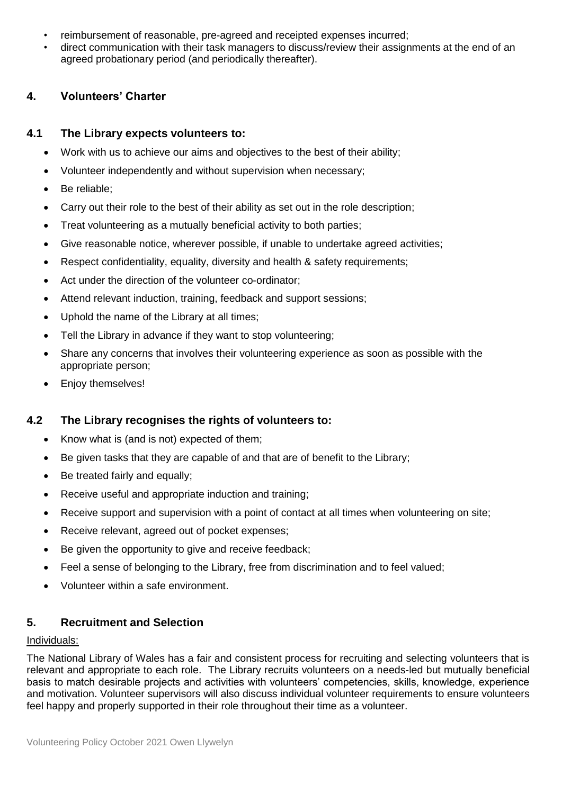- reimbursement of reasonable, pre-agreed and receipted expenses incurred;
- direct communication with their task managers to discuss/review their assignments at the end of an agreed probationary period (and periodically thereafter).

## **4. Volunteers' Charter**

## **4.1 The Library expects volunteers to:**

- Work with us to achieve our aims and objectives to the best of their ability;
- Volunteer independently and without supervision when necessary;
- Be reliable:
- Carry out their role to the best of their ability as set out in the role description;
- Treat volunteering as a mutually beneficial activity to both parties;
- Give reasonable notice, wherever possible, if unable to undertake agreed activities;
- Respect confidentiality, equality, diversity and health & safety requirements;
- Act under the direction of the volunteer co-ordinator;
- Attend relevant induction, training, feedback and support sessions;
- Uphold the name of the Library at all times:
- Tell the Library in advance if they want to stop volunteering;
- Share any concerns that involves their volunteering experience as soon as possible with the appropriate person;
- Enjoy themselves!

## **4.2 The Library recognises the rights of volunteers to:**

- Know what is (and is not) expected of them;
- Be given tasks that they are capable of and that are of benefit to the Library;
- Be treated fairly and equally;
- Receive useful and appropriate induction and training;
- Receive support and supervision with a point of contact at all times when volunteering on site;
- Receive relevant, agreed out of pocket expenses;
- Be given the opportunity to give and receive feedback;
- Feel a sense of belonging to the Library, free from discrimination and to feel valued;
- Volunteer within a safe environment.

## **5. Recruitment and Selection**

#### Individuals:

The National Library of Wales has a fair and consistent process for recruiting and selecting volunteers that is relevant and appropriate to each role. The Library recruits volunteers on a needs-led but mutually beneficial basis to match desirable projects and activities with volunteers' competencies, skills, knowledge, experience and motivation. Volunteer supervisors will also discuss individual volunteer requirements to ensure volunteers feel happy and properly supported in their role throughout their time as a volunteer.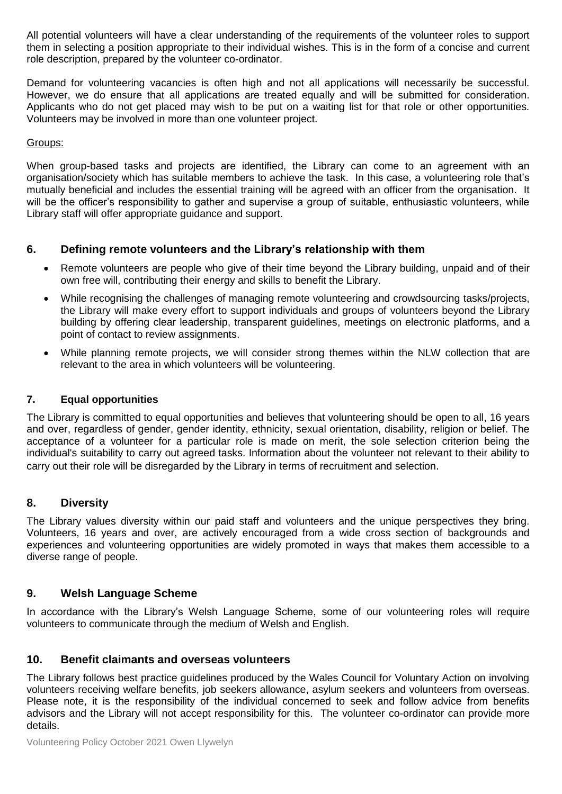All potential volunteers will have a clear understanding of the requirements of the volunteer roles to support them in selecting a position appropriate to their individual wishes. This is in the form of a concise and current role description, prepared by the volunteer co-ordinator.

Demand for volunteering vacancies is often high and not all applications will necessarily be successful. However, we do ensure that all applications are treated equally and will be submitted for consideration. Applicants who do not get placed may wish to be put on a waiting list for that role or other opportunities. Volunteers may be involved in more than one volunteer project.

#### Groups:

When group-based tasks and projects are identified, the Library can come to an agreement with an organisation/society which has suitable members to achieve the task. In this case, a volunteering role that's mutually beneficial and includes the essential training will be agreed with an officer from the organisation. It will be the officer's responsibility to gather and supervise a group of suitable, enthusiastic volunteers, while Library staff will offer appropriate guidance and support.

## **6. Defining remote volunteers and the Library's relationship with them**

- Remote volunteers are people who give of their time beyond the Library building, unpaid and of their own free will, contributing their energy and skills to benefit the Library.
- While recognising the challenges of managing remote volunteering and crowdsourcing tasks/projects, the Library will make every effort to support individuals and groups of volunteers beyond the Library building by offering clear leadership, transparent guidelines, meetings on electronic platforms, and a point of contact to review assignments.
- While planning remote projects, we will consider strong themes within the NLW collection that are relevant to the area in which volunteers will be volunteering.

## **7. Equal opportunities**

The Library is committed to equal opportunities and believes that volunteering should be open to all, 16 years and over, regardless of gender, gender identity, ethnicity, sexual orientation, disability, religion or belief. The acceptance of a volunteer for a particular role is made on merit, the sole selection criterion being the individual's suitability to carry out agreed tasks. Information about the volunteer not relevant to their ability to carry out their role will be disregarded by the Library in terms of recruitment and selection.

## **8. Diversity**

The Library values diversity within our paid staff and volunteers and the unique perspectives they bring. Volunteers, 16 years and over, are actively encouraged from a wide cross section of backgrounds and experiences and volunteering opportunities are widely promoted in ways that makes them accessible to a diverse range of people.

## **9. Welsh Language Scheme**

In accordance with the Library's Welsh Language Scheme, some of our volunteering roles will require volunteers to communicate through the medium of Welsh and English.

#### **10. Benefit claimants and overseas volunteers**

The Library follows best practice guidelines produced by the Wales Council for Voluntary Action on involving volunteers receiving welfare benefits, job seekers allowance, asylum seekers and volunteers from overseas. Please note, it is the responsibility of the individual concerned to seek and follow advice from benefits advisors and the Library will not accept responsibility for this. The volunteer co-ordinator can provide more details.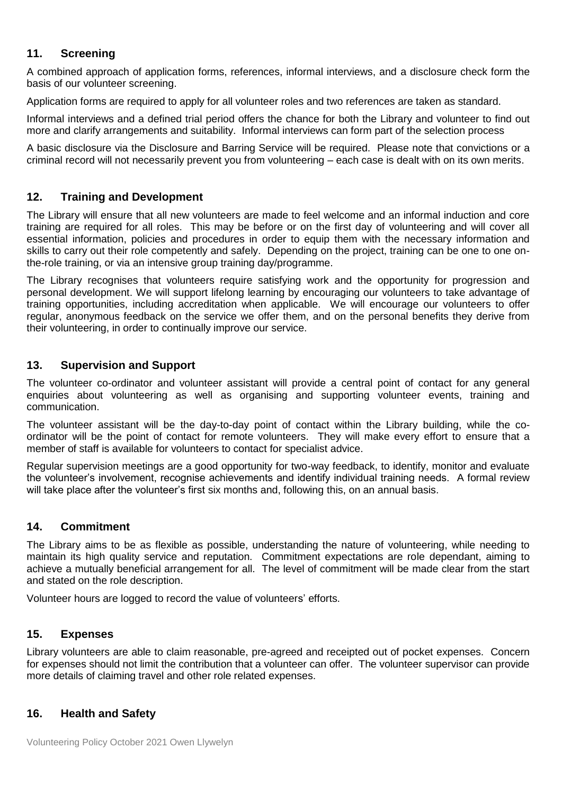## **11. Screening**

A combined approach of application forms, references, informal interviews, and a disclosure check form the basis of our volunteer screening.

Application forms are required to apply for all volunteer roles and two references are taken as standard.

Informal interviews and a defined trial period offers the chance for both the Library and volunteer to find out more and clarify arrangements and suitability. Informal interviews can form part of the selection process

A basic disclosure via the Disclosure and Barring Service will be required. Please note that convictions or a criminal record will not necessarily prevent you from volunteering – each case is dealt with on its own merits.

## **12. Training and Development**

The Library will ensure that all new volunteers are made to feel welcome and an informal induction and core training are required for all roles. This may be before or on the first day of volunteering and will cover all essential information, policies and procedures in order to equip them with the necessary information and skills to carry out their role competently and safely. Depending on the project, training can be one to one onthe-role training, or via an intensive group training day/programme.

The Library recognises that volunteers require satisfying work and the opportunity for progression and personal development. We will support lifelong learning by encouraging our volunteers to take advantage of training opportunities, including accreditation when applicable. We will encourage our volunteers to offer regular, anonymous feedback on the service we offer them, and on the personal benefits they derive from their volunteering, in order to continually improve our service.

## **13. Supervision and Support**

The volunteer co-ordinator and volunteer assistant will provide a central point of contact for any general enquiries about volunteering as well as organising and supporting volunteer events, training and communication.

The volunteer assistant will be the day-to-day point of contact within the Library building, while the coordinator will be the point of contact for remote volunteers. They will make every effort to ensure that a member of staff is available for volunteers to contact for specialist advice.

Regular supervision meetings are a good opportunity for two-way feedback, to identify, monitor and evaluate the volunteer's involvement, recognise achievements and identify individual training needs. A formal review will take place after the volunteer's first six months and, following this, on an annual basis.

## **14. Commitment**

The Library aims to be as flexible as possible, understanding the nature of volunteering, while needing to maintain its high quality service and reputation. Commitment expectations are role dependant, aiming to achieve a mutually beneficial arrangement for all. The level of commitment will be made clear from the start and stated on the role description.

Volunteer hours are logged to record the value of volunteers' efforts.

## **15. Expenses**

Library volunteers are able to claim reasonable, pre-agreed and receipted out of pocket expenses. Concern for expenses should not limit the contribution that a volunteer can offer. The volunteer supervisor can provide more details of claiming travel and other role related expenses.

## **16. Health and Safety**